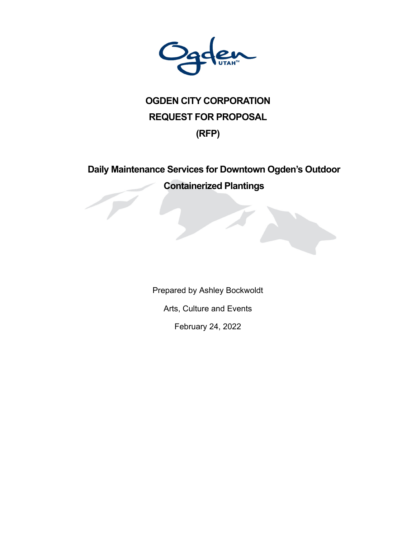

# **OGDEN CITY CORPORATION REQUEST FOR PROPOSAL (RFP)**

# **Daily Maintenance Services for Downtown Ogden's Outdoor Containerized Plantings**

Prepared by Ashley Bockwoldt Arts, Culture and Events February 24, 2022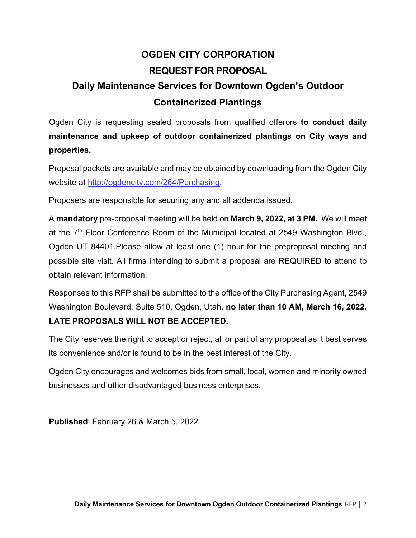# **OGDEN CITY CORPORATION REQUEST FOR PROPOSAL Daily Maintenance Services for Downtown Ogden's Outdoor Containerized Plantings**

Ogden City is requesting sealed proposals from qualified offerors **to conduct daily maintenance and upkeep of outdoor containerized plantings on City ways and properties.** 

Proposal packets are available and may be obtained by downloading from the Ogden City website at http://ogdencity.com/264/Purchasing.

Proposers are responsible for securing any and all addenda issued.

A **mandatory** pre-proposal meeting will be held on **March 9, 2022, at 3 PM.** We will meet at the  $7<sup>th</sup>$  Floor Conference Room of the Municipal located at 2549 Washington Blvd., Ogden UT 84401.Please allow at least one (1) hour for the preproposal meeting and possible site visit. All firms intending to submit a proposal are REQUIRED to attend to obtain relevant information.

Responses to this RFP shall be submitted to the office of the City Purchasing Agent, 2549 Washington Boulevard, Suite 510, Ogden, Utah, **no later than 10 AM, March 16, 2022. LATE PROPOSALS WILL NOT BE ACCEPTED.** 

The City reserves the right to accept or reject, all or part of any proposal as it best serves its convenience and/or is found to be in the best interest of the City.

Ogden City encourages and welcomes bids from small, local, women and minority owned businesses and other disadvantaged business enterprises.

**Published**: February 26 & March 5, 2022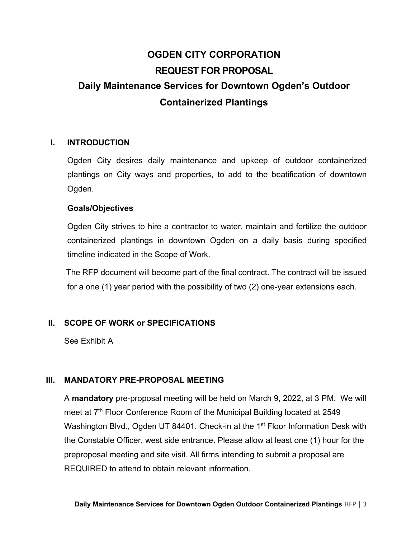# **OGDEN CITY CORPORATION REQUEST FOR PROPOSAL Daily Maintenance Services for Downtown Ogden's Outdoor Containerized Plantings**

#### **I. INTRODUCTION**

Ogden City desires daily maintenance and upkeep of outdoor containerized plantings on City ways and properties, to add to the beatification of downtown Ogden.

#### **Goals/Objectives**

Ogden City strives to hire a contractor to water, maintain and fertilize the outdoor containerized plantings in downtown Ogden on a daily basis during specified timeline indicated in the Scope of Work.

The RFP document will become part of the final contract. The contract will be issued for a one (1) year period with the possibility of two (2) one-year extensions each.

### **II. SCOPE OF WORK or SPECIFICATIONS**

See Exhibit A

### **III. MANDATORY PRE-PROPOSAL MEETING**

A **mandatory** pre-proposal meeting will be held on March 9, 2022, at 3 PM. We will meet at 7<sup>th</sup> Floor Conference Room of the Municipal Building located at 2549 Washington Blvd., Ogden UT 84401. Check-in at the 1<sup>st</sup> Floor Information Desk with the Constable Officer, west side entrance. Please allow at least one (1) hour for the preproposal meeting and site visit. All firms intending to submit a proposal are REQUIRED to attend to obtain relevant information.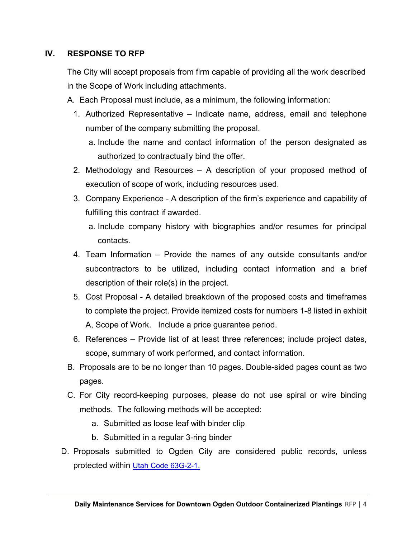### **IV. RESPONSE TO RFP**

The City will accept proposals from firm capable of providing all the work described in the Scope of Work including attachments.

- A. Each Proposal must include, as a minimum, the following information:
	- 1. Authorized Representative Indicate name, address, email and telephone number of the company submitting the proposal.
		- a. Include the name and contact information of the person designated as authorized to contractually bind the offer.
	- 2. Methodology and Resources A description of your proposed method of execution of scope of work, including resources used.
	- 3. Company Experience A description of the firm's experience and capability of fulfilling this contract if awarded.
		- a. Include company history with biographies and/or resumes for principal contacts.
	- 4. Team Information Provide the names of any outside consultants and/or subcontractors to be utilized, including contact information and a brief description of their role(s) in the project.
	- 5. Cost Proposal A detailed breakdown of the proposed costs and timeframes to complete the project. Provide itemized costs for numbers 1-8 listed in exhibit A, Scope of Work. Include a price guarantee period.
	- 6. References Provide list of at least three references; include project dates, scope, summary of work performed, and contact information.
- B. Proposals are to be no longer than 10 pages. Double-sided pages count as two pages.
- C. For City record-keeping purposes, please do not use spiral or wire binding methods. The following methods will be accepted:
	- a. Submitted as loose leaf with binder clip
	- b. Submitted in a regular 3-ring binder
- D. Proposals submitted to Ogden City are considered public records, unless protected within Utah Code 63G-2-1.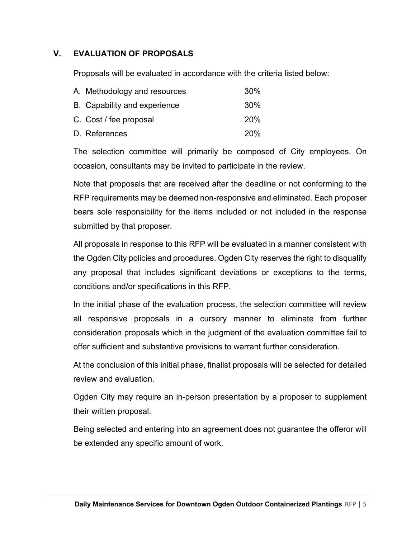### **V. EVALUATION OF PROPOSALS**

Proposals will be evaluated in accordance with the criteria listed below:

| A. Methodology and resources | 30%        |
|------------------------------|------------|
| B. Capability and experience | 30%        |
| C. Cost / fee proposal       | <b>20%</b> |
| D. References                | <b>20%</b> |

The selection committee will primarily be composed of City employees. On occasion, consultants may be invited to participate in the review.

Note that proposals that are received after the deadline or not conforming to the RFP requirements may be deemed non-responsive and eliminated. Each proposer bears sole responsibility for the items included or not included in the response submitted by that proposer.

All proposals in response to this RFP will be evaluated in a manner consistent with the Ogden City policies and procedures. Ogden City reserves the right to disqualify any proposal that includes significant deviations or exceptions to the terms, conditions and/or specifications in this RFP.

In the initial phase of the evaluation process, the selection committee will review all responsive proposals in a cursory manner to eliminate from further consideration proposals which in the judgment of the evaluation committee fail to offer sufficient and substantive provisions to warrant further consideration.

At the conclusion of this initial phase, finalist proposals will be selected for detailed review and evaluation.

Ogden City may require an in-person presentation by a proposer to supplement their written proposal.

Being selected and entering into an agreement does not guarantee the offeror will be extended any specific amount of work.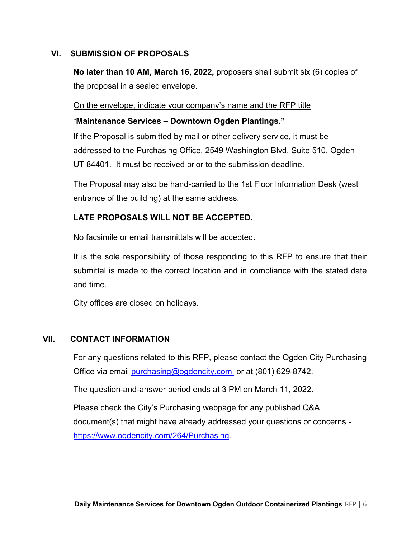#### **VI. SUBMISSION OF PROPOSALS**

**No later than 10 AM, March 16, 2022,** proposers shall submit six (6) copies of the proposal in a sealed envelope.

#### On the envelope, indicate your company's name and the RFP title

#### "**Maintenance Services – Downtown Ogden Plantings."**

If the Proposal is submitted by mail or other delivery service, it must be addressed to the Purchasing Office, 2549 Washington Blvd, Suite 510, Ogden UT 84401. It must be received prior to the submission deadline.

The Proposal may also be hand-carried to the 1st Floor Information Desk (west entrance of the building) at the same address.

### **LATE PROPOSALS WILL NOT BE ACCEPTED.**

No facsimile or email transmittals will be accepted.

It is the sole responsibility of those responding to this RFP to ensure that their submittal is made to the correct location and in compliance with the stated date and time.

City offices are closed on holidays.

#### **VII. CONTACT INFORMATION**

For any questions related to this RFP, please contact the Ogden City Purchasing Office via email purchasing@ogdencity.com or at (801) 629-8742.

The question-and-answer period ends at 3 PM on March 11, 2022.

Please check the City's Purchasing webpage for any published Q&A document(s) that might have already addressed your questions or concerns https://www.ogdencity.com/264/Purchasing.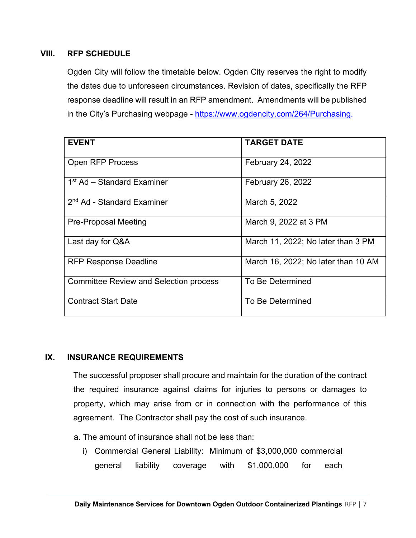### **VIII. RFP SCHEDULE**

Ogden City will follow the timetable below. Ogden City reserves the right to modify the dates due to unforeseen circumstances. Revision of dates, specifically the RFP response deadline will result in an RFP amendment. Amendments will be published in the City's Purchasing webpage - https://www.ogdencity.com/264/Purchasing.

| <b>EVENT</b>                                  | <b>TARGET DATE</b>                  |  |  |
|-----------------------------------------------|-------------------------------------|--|--|
| <b>Open RFP Process</b>                       | <b>February 24, 2022</b>            |  |  |
| 1 <sup>st</sup> Ad – Standard Examiner        | <b>February 26, 2022</b>            |  |  |
| 2 <sup>nd</sup> Ad - Standard Examiner        | March 5, 2022                       |  |  |
| <b>Pre-Proposal Meeting</b>                   | March 9, 2022 at 3 PM               |  |  |
| Last day for Q&A                              | March 11, 2022; No later than 3 PM  |  |  |
| <b>RFP Response Deadline</b>                  | March 16, 2022; No later than 10 AM |  |  |
| <b>Committee Review and Selection process</b> | To Be Determined                    |  |  |
| <b>Contract Start Date</b>                    | To Be Determined                    |  |  |

### **IX. INSURANCE REQUIREMENTS**

The successful proposer shall procure and maintain for the duration of the contract the required insurance against claims for injuries to persons or damages to property, which may arise from or in connection with the performance of this agreement. The Contractor shall pay the cost of such insurance.

- a. The amount of insurance shall not be less than:
	- i) Commercial General Liability: Minimum of \$3,000,000 commercial general liability coverage with \$1,000,000 for each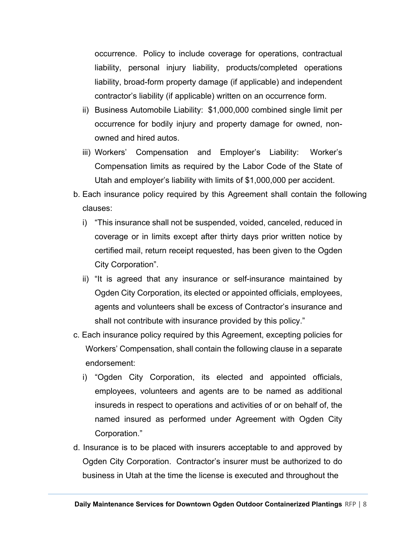occurrence. Policy to include coverage for operations, contractual liability, personal injury liability, products/completed operations liability, broad-form property damage (if applicable) and independent contractor's liability (if applicable) written on an occurrence form.

- ii) Business Automobile Liability: \$1,000,000 combined single limit per occurrence for bodily injury and property damage for owned, nonowned and hired autos.
- iii) Workers' Compensation and Employer's Liability: Worker's Compensation limits as required by the Labor Code of the State of Utah and employer's liability with limits of \$1,000,000 per accident.
- b. Each insurance policy required by this Agreement shall contain the following clauses:
	- i) "This insurance shall not be suspended, voided, canceled, reduced in coverage or in limits except after thirty days prior written notice by certified mail, return receipt requested, has been given to the Ogden City Corporation".
	- ii) "It is agreed that any insurance or self-insurance maintained by Ogden City Corporation, its elected or appointed officials, employees, agents and volunteers shall be excess of Contractor's insurance and shall not contribute with insurance provided by this policy."
- c. Each insurance policy required by this Agreement, excepting policies for Workers' Compensation, shall contain the following clause in a separate endorsement:
	- i) "Ogden City Corporation, its elected and appointed officials, employees, volunteers and agents are to be named as additional insureds in respect to operations and activities of or on behalf of, the named insured as performed under Agreement with Ogden City Corporation."
- d. Insurance is to be placed with insurers acceptable to and approved by Ogden City Corporation. Contractor's insurer must be authorized to do business in Utah at the time the license is executed and throughout the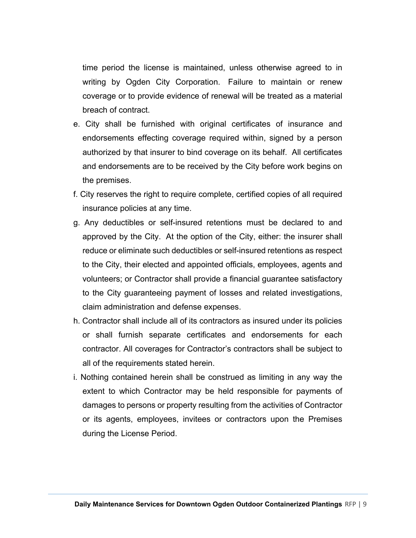time period the license is maintained, unless otherwise agreed to in writing by Ogden City Corporation. Failure to maintain or renew coverage or to provide evidence of renewal will be treated as a material breach of contract.

- e. City shall be furnished with original certificates of insurance and endorsements effecting coverage required within, signed by a person authorized by that insurer to bind coverage on its behalf. All certificates and endorsements are to be received by the City before work begins on the premises.
- f. City reserves the right to require complete, certified copies of all required insurance policies at any time.
- g. Any deductibles or self-insured retentions must be declared to and approved by the City. At the option of the City, either: the insurer shall reduce or eliminate such deductibles or self-insured retentions as respect to the City, their elected and appointed officials, employees, agents and volunteers; or Contractor shall provide a financial guarantee satisfactory to the City guaranteeing payment of losses and related investigations, claim administration and defense expenses.
- h. Contractor shall include all of its contractors as insured under its policies or shall furnish separate certificates and endorsements for each contractor. All coverages for Contractor's contractors shall be subject to all of the requirements stated herein.
- i. Nothing contained herein shall be construed as limiting in any way the extent to which Contractor may be held responsible for payments of damages to persons or property resulting from the activities of Contractor or its agents, employees, invitees or contractors upon the Premises during the License Period.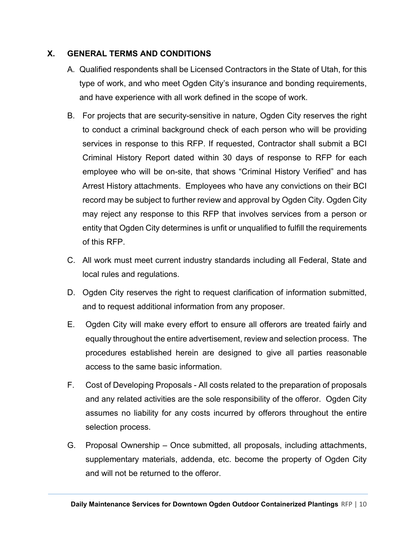### **X. GENERAL TERMS AND CONDITIONS**

- A. Qualified respondents shall be Licensed Contractors in the State of Utah, for this type of work, and who meet Ogden City's insurance and bonding requirements, and have experience with all work defined in the scope of work.
- B. For projects that are security-sensitive in nature, Ogden City reserves the right to conduct a criminal background check of each person who will be providing services in response to this RFP. If requested, Contractor shall submit a BCI Criminal History Report dated within 30 days of response to RFP for each employee who will be on-site, that shows "Criminal History Verified" and has Arrest History attachments. Employees who have any convictions on their BCI record may be subject to further review and approval by Ogden City. Ogden City may reject any response to this RFP that involves services from a person or entity that Ogden City determines is unfit or unqualified to fulfill the requirements of this RFP.
- C. All work must meet current industry standards including all Federal, State and local rules and regulations.
- D. Ogden City reserves the right to request clarification of information submitted, and to request additional information from any proposer.
- E. Ogden City will make every effort to ensure all offerors are treated fairly and equally throughout the entire advertisement, review and selection process. The procedures established herein are designed to give all parties reasonable access to the same basic information.
- F. Cost of Developing Proposals All costs related to the preparation of proposals and any related activities are the sole responsibility of the offeror. Ogden City assumes no liability for any costs incurred by offerors throughout the entire selection process.
- G. Proposal Ownership Once submitted, all proposals, including attachments, supplementary materials, addenda, etc. become the property of Ogden City and will not be returned to the offeror.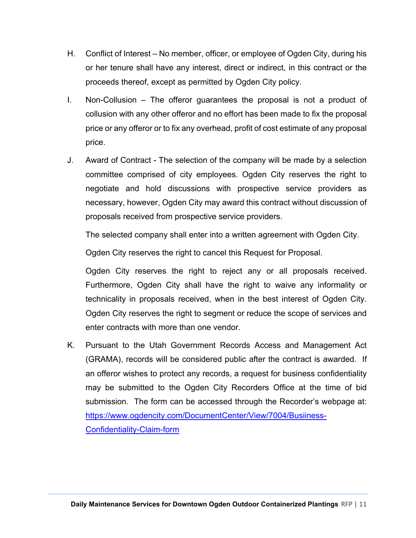- H. Conflict of Interest No member, officer, or employee of Ogden City, during his or her tenure shall have any interest, direct or indirect, in this contract or the proceeds thereof, except as permitted by Ogden City policy.
- I. Non-Collusion The offeror guarantees the proposal is not a product of collusion with any other offeror and no effort has been made to fix the proposal price or any offeror or to fix any overhead, profit of cost estimate of any proposal price.
- J. Award of Contract The selection of the company will be made by a selection committee comprised of city employees. Ogden City reserves the right to negotiate and hold discussions with prospective service providers as necessary, however, Ogden City may award this contract without discussion of proposals received from prospective service providers.

The selected company shall enter into a written agreement with Ogden City.

Ogden City reserves the right to cancel this Request for Proposal.

Ogden City reserves the right to reject any or all proposals received. Furthermore, Ogden City shall have the right to waive any informality or technicality in proposals received, when in the best interest of Ogden City. Ogden City reserves the right to segment or reduce the scope of services and enter contracts with more than one vendor.

K. Pursuant to the Utah Government Records Access and Management Act (GRAMA), records will be considered public after the contract is awarded. If an offeror wishes to protect any records, a request for business confidentiality may be submitted to the Ogden City Recorders Office at the time of bid submission. The form can be accessed through the Recorder's webpage at: https://www.ogdencity.com/DocumentCenter/View/7004/Busiiness-Confidentiality-Claim-form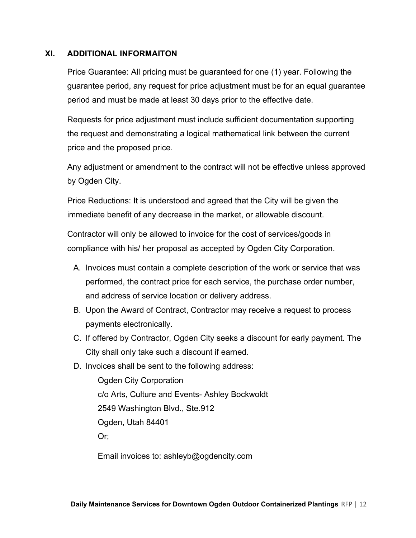### **XI. ADDITIONAL INFORMAITON**

Price Guarantee: All pricing must be guaranteed for one (1) year. Following the guarantee period, any request for price adjustment must be for an equal guarantee period and must be made at least 30 days prior to the effective date.

Requests for price adjustment must include sufficient documentation supporting the request and demonstrating a logical mathematical link between the current price and the proposed price.

Any adjustment or amendment to the contract will not be effective unless approved by Ogden City.

Price Reductions: It is understood and agreed that the City will be given the immediate benefit of any decrease in the market, or allowable discount.

Contractor will only be allowed to invoice for the cost of services/goods in compliance with his/ her proposal as accepted by Ogden City Corporation.

- A. Invoices must contain a complete description of the work or service that was performed, the contract price for each service, the purchase order number, and address of service location or delivery address.
- B. Upon the Award of Contract, Contractor may receive a request to process payments electronically.
- C. If offered by Contractor, Ogden City seeks a discount for early payment. The City shall only take such a discount if earned.
- D. Invoices shall be sent to the following address:

 Ogden City Corporation c/o Arts, Culture and Events- Ashley Bockwoldt 2549 Washington Blvd., Ste.912 Ogden, Utah 84401 Or;

Email invoices to: ashleyb@ogdencity.com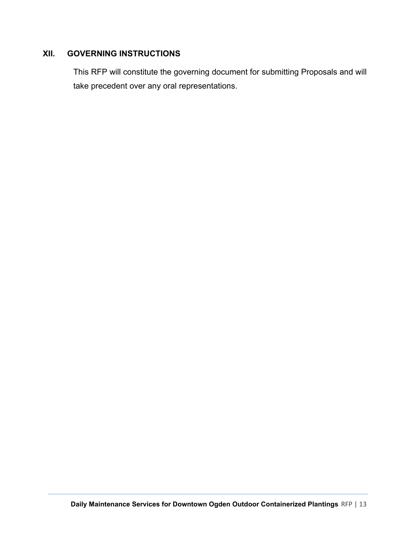## **XII. GOVERNING INSTRUCTIONS**

This RFP will constitute the governing document for submitting Proposals and will take precedent over any oral representations.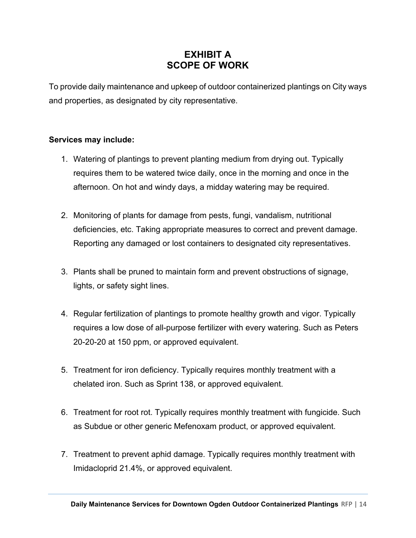## **EXHIBIT A SCOPE OF WORK**

To provide daily maintenance and upkeep of outdoor containerized plantings on City ways and properties, as designated by city representative.

#### **Services may include:**

- 1. Watering of plantings to prevent planting medium from drying out. Typically requires them to be watered twice daily, once in the morning and once in the afternoon. On hot and windy days, a midday watering may be required.
- 2. Monitoring of plants for damage from pests, fungi, vandalism, nutritional deficiencies, etc. Taking appropriate measures to correct and prevent damage. Reporting any damaged or lost containers to designated city representatives.
- 3. Plants shall be pruned to maintain form and prevent obstructions of signage, lights, or safety sight lines.
- 4. Regular fertilization of plantings to promote healthy growth and vigor. Typically requires a low dose of all-purpose fertilizer with every watering. Such as Peters 20-20-20 at 150 ppm, or approved equivalent.
- 5. Treatment for iron deficiency. Typically requires monthly treatment with a chelated iron. Such as Sprint 138, or approved equivalent.
- 6. Treatment for root rot. Typically requires monthly treatment with fungicide. Such as Subdue or other generic Mefenoxam product, or approved equivalent.
- 7. Treatment to prevent aphid damage. Typically requires monthly treatment with Imidacloprid 21.4%, or approved equivalent.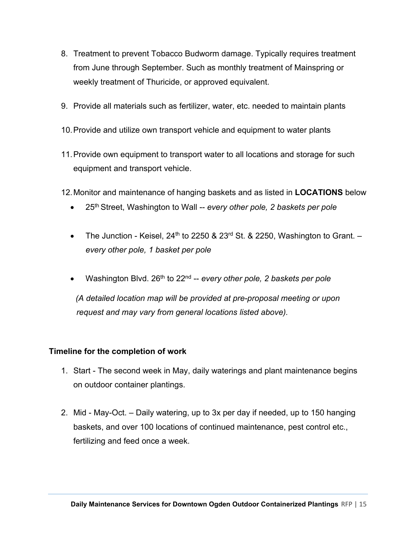- 8. Treatment to prevent Tobacco Budworm damage. Typically requires treatment from June through September. Such as monthly treatment of Mainspring or weekly treatment of Thuricide, or approved equivalent.
- 9. Provide all materials such as fertilizer, water, etc. needed to maintain plants
- 10. Provide and utilize own transport vehicle and equipment to water plants
- 11. Provide own equipment to transport water to all locations and storage for such equipment and transport vehicle.
- 12. Monitor and maintenance of hanging baskets and as listed in **LOCATIONS** below
	- 25th Street, Washington to Wall -- *every other pole, 2 baskets per pole*
	- The Junction Keisel,  $24<sup>th</sup>$  to 2250 & 23<sup>rd</sup> St. & 2250, Washington to Grant.  $$ *every other pole, 1 basket per pole*
	- Washington Blvd. 26<sup>th</sup> to 22<sup>nd</sup> -- *every other pole*, 2 baskets per pole

 *(A detailed location map will be provided at pre-proposal meeting or upon request and may vary from general locations listed above).* 

### **Timeline for the completion of work**

- 1. Start The second week in May, daily waterings and plant maintenance begins on outdoor container plantings.
- 2. Mid May-Oct. Daily watering, up to 3x per day if needed, up to 150 hanging baskets, and over 100 locations of continued maintenance, pest control etc., fertilizing and feed once a week.